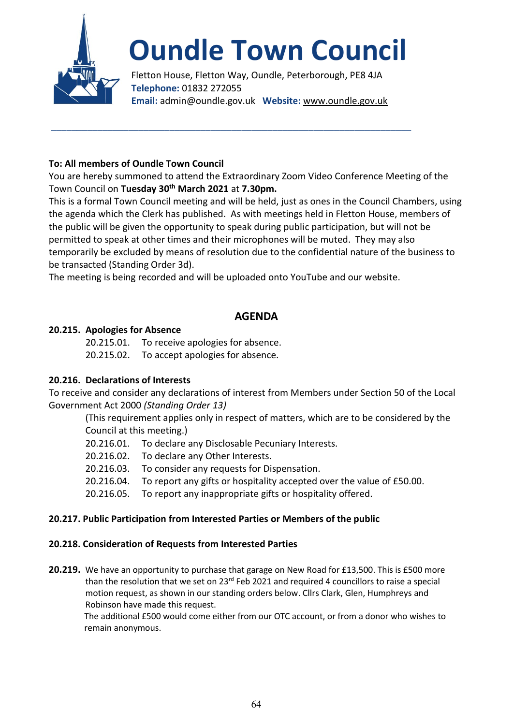

# **Oundle Town Council**

Fletton House, Fletton Way, Oundle, Peterborough, PE8 4JA **Telephone:** 01832 272055 **Email:** admin@oundle.gov.uk **Website:** www.oundle.gov.uk

## **To: All members of Oundle Town Council**

You are hereby summoned to attend the Extraordinary Zoom Video Conference Meeting of the Town Council on **Tuesday 30th March 2021** at **7.30pm.**

\_\_\_\_\_\_\_\_\_\_\_\_\_\_\_\_\_\_\_\_\_\_\_\_\_\_\_\_\_\_\_\_\_\_\_\_\_\_\_\_\_\_\_\_\_\_\_\_\_\_\_\_\_\_\_\_\_\_\_\_\_\_\_\_\_\_\_\_\_\_

This is a formal Town Council meeting and will be held, just as ones in the Council Chambers, using the agenda which the Clerk has published. As with meetings held in Fletton House, members of the public will be given the opportunity to speak during public participation, but will not be permitted to speak at other times and their microphones will be muted. They may also temporarily be excluded by means of resolution due to the confidential nature of the business to be transacted (Standing Order 3d).

The meeting is being recorded and will be uploaded onto YouTube and our website.

# **AGENDA**

## **20.215. Apologies for Absence**

20.215.01. To receive apologies for absence. 20.215.02. To accept apologies for absence.

## **20.216. Declarations of Interests**

To receive and consider any declarations of interest from Members under Section 50 of the Local Government Act 2000 *(Standing Order 13)*

(This requirement applies only in respect of matters, which are to be considered by the Council at this meeting.)

- 20.216.01. To declare any Disclosable Pecuniary Interests.
- 20.216.02. To declare any Other Interests.
- 20.216.03. To consider any requests for Dispensation.
- 20.216.04. To report any gifts or hospitality accepted over the value of £50.00.
- 20.216.05. To report any inappropriate gifts or hospitality offered.

## **20.217. Public Participation from Interested Parties or Members of the public**

## **20.218. Consideration of Requests from Interested Parties**

**20.219.** We have an opportunity to purchase that garage on New Road for £13,500. This is £500 more than the resolution that we set on 23<sup>rd</sup> Feb 2021 and required 4 councillors to raise a special motion request, as shown in our standing orders below. Cllrs Clark, Glen, Humphreys and Robinson have made this request.

The additional £500 would come either from our OTC account, or from a donor who wishes to remain anonymous.